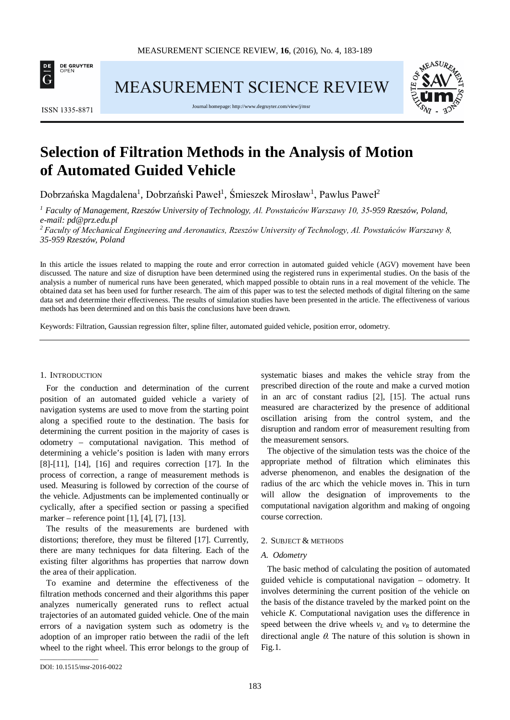

**MEASUREMENT SCIENCE REVIEW** 



Journal homepage[: http://www.degruyter.com/view/j/msr](http://www.degruyter.com/view/j/msr)



# **Selection of Filtration Methods in the Analysis of Motion of Automated Guided Vehicle**

Dobrzańska Magdalena<sup>1</sup>, Dobrzański Paweł<sup>1</sup>, Śmieszek Mirosław<sup>1</sup>, Pawlus Paweł<sup>2</sup>

*<sup>1</sup> Faculty of Management, Rzeszów University of Technology, Al. Powstańców Warszawy 10, 35-959 Rzeszów, Poland, e-mail: pd@prz.edu.pl*

*<sup>2</sup>Faculty of Mechanical Engineering and Aeronautics, Rzeszów University of Technology, Al. Powstańców Warszawy 8, 35-959 Rzeszów, Poland*

In this article the issues related to mapping the route and error correction in automated guided vehicle (AGV) movement have been discussed. The nature and size of disruption have been determined using the registered runs in experimental studies. On the basis of the analysis a number of numerical runs have been generated, which mapped possible to obtain runs in a real movement of the vehicle. The obtained data set has been used for further research. The aim of this paper was to test the selected methods of digital filtering on the same data set and determine their effectiveness. The results of simulation studies have been presented in the article. The effectiveness of various methods has been determined and on this basis the conclusions have been drawn.

Keywords: Filtration, Gaussian regression filter, spline filter, automated guided vehicle, position error, odometry.

#### 1. INTRODUCTION

For the conduction and determination of the current position of an automated guided vehicle a variety of navigation systems are used to move from the starting point along a specified route to the destination. The basis for determining the current position in the majority of cases is odometry – computational navigation. This method of determining a vehicle's position is laden with many errors [8]-[11], [14], [16] and requires correction [17]. In the process of correction, a range of measurement methods is used. Measuring is followed by correction of the course of the vehicle. Adjustments can be implemented continually or cyclically, after a specified section or passing a specified marker – reference point [1], [4], [7], [13].

The results of the measurements are burdened with distortions; therefore, they must be filtered [17]. Currently, there are many techniques for data filtering. Each of the existing filter algorithms has properties that narrow down the area of their application.

To examine and determine the effectiveness of the filtration methods concerned and their algorithms this paper analyzes numerically generated runs to reflect actual trajectories of an automated guided vehicle. One of the main errors of a navigation system such as odometry is the adoption of an improper ratio between the radii of the left wheel to the right wheel. This error belongs to the group of systematic biases and makes the vehicle stray from the prescribed direction of the route and make a curved motion in an arc of constant radius [2], [15]. The actual runs measured are characterized by the presence of additional oscillation arising from the control system, and the disruption and random error of measurement resulting from the measurement sensors.

The objective of the simulation tests was the choice of the appropriate method of filtration which eliminates this adverse phenomenon, and enables the designation of the radius of the arc which the vehicle moves in. This in turn will allow the designation of improvements to the computational navigation algorithm and making of ongoing course correction.

# 2. SUBJECT & METHODS

#### *A. Odometry*

The basic method of calculating the position of automated guided vehicle is computational navigation – odometry. It involves determining the current position of the vehicle on the basis of the distance traveled by the marked point on the vehicle *K*. Computational navigation uses the difference in speed between the drive wheels  $v_L$  and  $v_R$  to determine the directional angle  $\theta$ . The nature of this solution is shown in Fig.1.

\_\_\_\_\_\_\_\_\_\_\_\_\_\_\_\_\_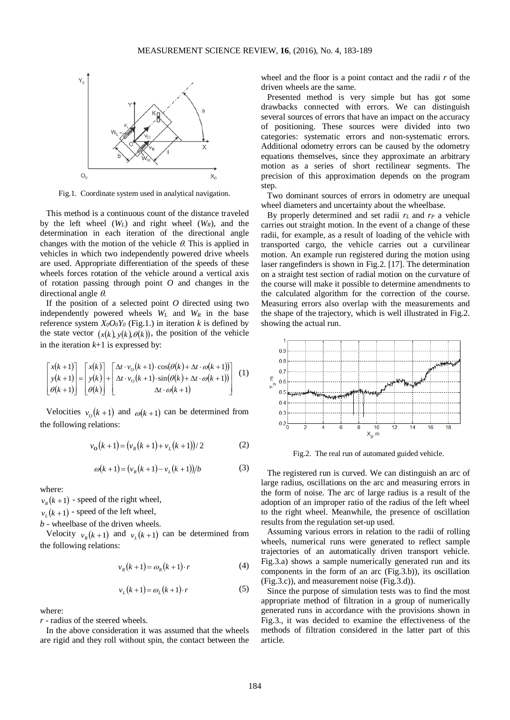

Fig.1. Coordinate system used in analytical navigation.

This method is a continuous count of the distance traveled by the left wheel  $(W_L)$  and right wheel  $(W_R)$ , and the determination in each iteration of the directional angle changes with the motion of the vehicle  $\theta$ . This is applied in vehicles in which two independently powered drive wheels are used. Appropriate differentiation of the speeds of these wheels forces rotation of the vehicle around a vertical axis of rotation passing through point *O* and changes in the directional angle θ.

If the position of a selected point *O* directed using two independently powered wheels  $W_L$  and  $W_R$  in the base reference system  $X_0O_0Y_0$  (Fig.1.) in iteration *k* is defined by the state vector  $(x(k), y(k), \theta(k))$ , the position of the vehicle in the iteration  $k+1$  is expressed by:

$$
\begin{bmatrix} x(k+1) \\ y(k+1) \\ \theta(k+1) \end{bmatrix} = \begin{bmatrix} x(k) \\ y(k) \\ \theta(k) \end{bmatrix} + \begin{bmatrix} \Delta t \cdot v_0(k+1) \cdot \cos(\theta(k) + \Delta t \cdot \omega(k+1)) \\ \Delta t \cdot v_0(k+1) \cdot \sin(\theta(k) + \Delta t \cdot \omega(k+1)) \\ \Delta t \cdot \omega(k+1) \end{bmatrix} (1)
$$

Velocities  $v_0(k+1)$  and  $\omega(k+1)$  can be determined from the following relations:

$$
v_{0}(k+1) = (v_{R}(k+1) + v_{L}(k+1))/2
$$
 (2)

$$
\omega(k+1) = (v_R(k+1) - v_L(k+1))/b \tag{3}
$$

where:

 $v_R(k+1)$  - speed of the right wheel,

 $v_r(k+1)$  - speed of the left wheel,

*b* - wheelbase of the driven wheels.

Velocity  $v_R(k+1)$  and  $v_L(k+1)$  can be determined from the following relations:

$$
v_R(k+1) = \omega_R(k+1) \cdot r \tag{4}
$$

$$
v_L(k+1) = \omega_L(k+1) \cdot r \tag{5}
$$

where:

*r* - radius of the steered wheels.

In the above consideration it was assumed that the wheels are rigid and they roll without spin, the contact between the wheel and the floor is a point contact and the radii *r* of the driven wheels are the same.

Presented method is very simple but has got some drawbacks connected with errors. We can distinguish several sources of errors that have an impact on the accuracy of positioning. These sources were divided into two categories: systematic errors and non-systematic errors. Additional odometry errors can be caused by the odometry equations themselves, since they approximate an arbitrary motion as a series of short rectilinear segments. The precision of this approximation depends on the program step.

Two dominant sources of errors in odometry are unequal wheel diameters and uncertainty about the wheelbase.

By properly determined and set radii  $r<sub>L</sub>$  and  $r<sub>P</sub>$  a vehicle carries out straight motion. In the event of a change of these radii, for example, as a result of loading of the vehicle with transported cargo, the vehicle carries out a curvilinear motion. An example run registered during the motion using laser rangefinders is shown in Fig.2. [17]. The determination on a straight test section of radial motion on the curvature of the course will make it possible to determine amendments to the calculated algorithm for the correction of the course. Measuring errors also overlap with the measurements and the shape of the trajectory, which is well illustrated in Fig.2. showing the actual run.



Fig.2. The real run of automated guided vehicle.

The registered run is curved. We can distinguish an arc of large radius, oscillations on the arc and measuring errors in the form of noise. The arc of large radius is a result of the adoption of an improper ratio of the radius of the left wheel to the right wheel. Meanwhile, the presence of oscillation results from the regulation set-up used.

Assuming various errors in relation to the radii of rolling wheels, numerical runs were generated to reflect sample trajectories of an automatically driven transport vehicle. Fig.3.a) shows a sample numerically generated run and its components in the form of an arc (Fig.3.b)), its oscillation (Fig.3.c)), and measurement noise (Fig.3.d)).

Since the purpose of simulation tests was to find the most appropriate method of filtration in a group of numerically generated runs in accordance with the provisions shown in Fig.3., it was decided to examine the effectiveness of the methods of filtration considered in the latter part of this article.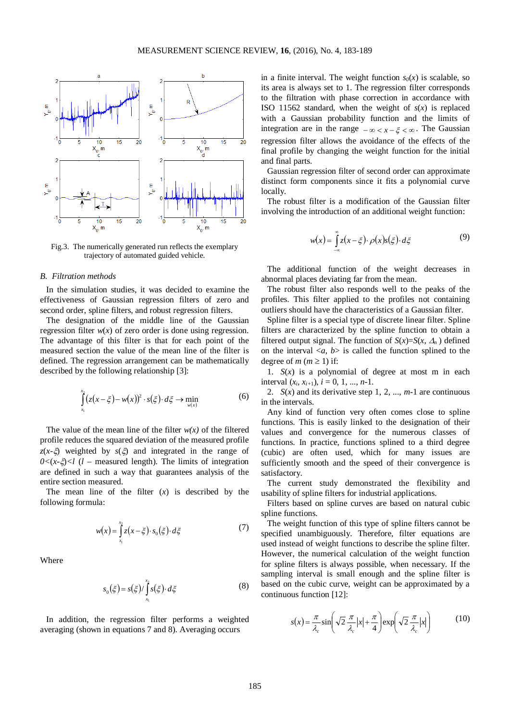

Fig.3. The numerically generated run reflects the exemplary trajectory of automated guided vehicle.

## *B. Filtration methods*

In the simulation studies, it was decided to examine the effectiveness of Gaussian regression filters of zero and second order, spline filters, and robust regression filters.

The designation of the middle line of the Gaussian regression filter  $w(x)$  of zero order is done using regression. The advantage of this filter is that for each point of the measured section the value of the mean line of the filter is defined. The regression arrangement can be mathematically described by the following relationship [3]:

$$
\int_{x_1}^{x_2} (z(x-\xi) - w(x))^2 \cdot s(\xi) \cdot d\xi \to \min_{w(x)} \tag{6}
$$

The value of the mean line of the filter  $w(x)$  of the filtered profile reduces the squared deviation of the measured profile *z*(*x-*ξ) weighted by *s*(ξ) and integrated in the range of  $0 < (x-\xi) < l$  (*l* – measured length). The limits of integration are defined in such a way that guarantees analysis of the entire section measured.

The mean line of the filter  $(x)$  is described by the following formula:

$$
w(x) = \int_{x_1}^{x_2} z(x - \xi) \cdot s_0(\xi) \cdot d\xi
$$
 (7)

Where

$$
s_0(\xi) = s(\xi)/\int_{x_1}^{x_2} s(\xi) \cdot d\xi
$$
 (8)

In addition, the regression filter performs a weighted averaging (shown in equations 7 and 8). Averaging occurs

in a finite interval. The weight function  $s_0(x)$  is scalable, so its area is always set to 1. The regression filter corresponds to the filtration with phase correction in accordance with ISO 11562 standard, when the weight of  $s(x)$  is replaced with a Gaussian probability function and the limits of integration are in the range  $-\infty < x - \xi < \infty$ . The Gaussian regression filter allows the avoidance of the effects of the final profile by changing the weight function for the initial and final parts.

Gaussian regression filter of second order can approximate distinct form components since it fits a polynomial curve locally.

The robust filter is a modification of the Gaussian filter involving the introduction of an additional weight function:

$$
w(x) = \int_{-\infty}^{\infty} z(x - \xi) \cdot \rho(x) s(\xi) \cdot d\xi \tag{9}
$$

The additional function of the weight decreases in abnormal places deviating far from the mean.

The robust filter also responds well to the peaks of the profiles. This filter applied to the profiles not containing outliers should have the characteristics of a Gaussian filter.

Spline filter is a special type of discrete linear filter. Spline filters are characterized by the spline function to obtain a filtered output signal. The function of  $S(x)=S(x, \Delta_n)$  defined on the interval  $\langle a, b \rangle$  is called the function splined to the degree of *m* ( $m \ge 1$ ) if:

1.  $S(x)$  is a polynomial of degree at most m in each interval  $(x_i, x_{i+1}), i = 0, 1, ..., n-1$ .

2.  $S(x)$  and its derivative step 1, 2, ...,  $m-1$  are continuous in the intervals.

Any kind of function very often comes close to spline functions. This is easily linked to the designation of their values and convergence for the numerous classes of functions. In practice, functions splined to a third degree (cubic) are often used, which for many issues are sufficiently smooth and the speed of their convergence is satisfactory.

The current study demonstrated the flexibility and usability of spline filters for industrial applications.

Filters based on spline curves are based on natural cubic spline functions.

The weight function of this type of spline filters cannot be specified unambiguously. Therefore, filter equations are used instead of weight functions to describe the spline filter. However, the numerical calculation of the weight function for spline filters is always possible, when necessary. If the sampling interval is small enough and the spline filter is based on the cubic curve, weight can be approximated by a continuous function [12]:

$$
s(x) = \frac{\pi}{\lambda_c} \sin\left(\sqrt{2} \frac{\pi}{\lambda_c} |x| + \frac{\pi}{4}\right) \exp\left(\sqrt{2} \frac{\pi}{\lambda_c} |x|\right) \tag{10}
$$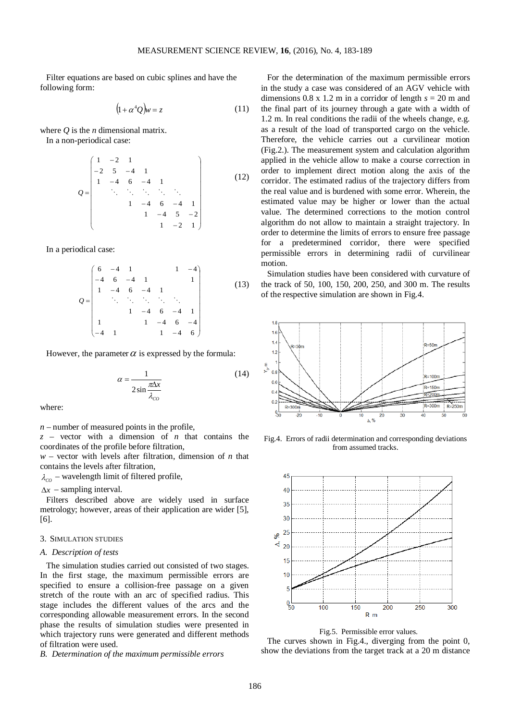Filter equations are based on cubic splines and have the following form:

$$
(1 + \alpha^4 Q)w = z \tag{11}
$$

where *Q* is the *n* dimensional matrix.

In a non-periodical case:

$$
Q = \begin{pmatrix} 1 & -2 & 1 & & & & \\ -2 & 5 & -4 & 1 & & & \\ 1 & -4 & 6 & -4 & 1 & & \\ & \ddots & \ddots & \ddots & \ddots & \ddots & \\ & & 1 & -4 & 6 & -4 & 1 \\ & & & 1 & -4 & 5 & -2 \\ & & & & 1 & -2 & 1 \end{pmatrix}
$$
(12)

In a periodical case:

$$
Q = \begin{pmatrix} 6 & -4 & 1 & 1 & -4 \\ -4 & 6 & -4 & 1 & 1 \\ 1 & -4 & 6 & -4 & 1 & 1 \\ & \ddots & \ddots & \ddots & \ddots & \ddots \\ & & 1 & -4 & 6 & -4 & 1 \\ 1 & & 1 & -4 & 6 & -4 \\ -4 & 1 & & 1 & -4 & 6 \end{pmatrix}
$$
 (13)

However, the parameter  $\alpha$  is expressed by the formula:

$$
\alpha = \frac{1}{2\sin\frac{\pi\Delta x}{\lambda_{co}}}
$$
(14)

where:

*n –* number of measured points in the profile,

 $z$  – vector with a dimension of *n* that contains the coordinates of the profile before filtration,

*w* – vector with levels after filtration, dimension of *n* that contains the levels after filtration,

 $\lambda_{CO}$  – wavelength limit of filtered profile,

∆*x* – sampling interval.

Filters described above are widely used in surface metrology; however, areas of their application are wider [5], [6].

## 3. SIMULATION STUDIES

# *A. Description of tests*

The simulation studies carried out consisted of two stages. In the first stage, the maximum permissible errors are specified to ensure a collision-free passage on a given stretch of the route with an arc of specified radius. This stage includes the different values of the arcs and the corresponding allowable measurement errors. In the second phase the results of simulation studies were presented in which trajectory runs were generated and different methods of filtration were used.

*B. Determination of the maximum permissible errors*

For the determination of the maximum permissible errors in the study a case was considered of an AGV vehicle with dimensions 0.8 x 1.2 m in a corridor of length  $s = 20$  m and the final part of its journey through a gate with a width of 1.2 m. In real conditions the radii of the wheels change, e.g. as a result of the load of transported cargo on the vehicle. Therefore, the vehicle carries out a curvilinear motion (Fig.2.). The measurement system and calculation algorithm applied in the vehicle allow to make a course correction in order to implement direct motion along the axis of the corridor. The estimated radius of the trajectory differs from the real value and is burdened with some error. Wherein, the estimated value may be higher or lower than the actual value. The determined corrections to the motion control algorithm do not allow to maintain a straight trajectory. In order to determine the limits of errors to ensure free passage for a predetermined corridor, there were specified permissible errors in determining radii of curvilinear motion.

Simulation studies have been considered with curvature of the track of 50, 100, 150, 200, 250, and 300 m. The results of the respective simulation are shown in Fig.4.



Fig.4. Errors of radii determination and corresponding deviations from assumed tracks.





The curves shown in Fig.4., diverging from the point 0, show the deviations from the target track at a 20 m distance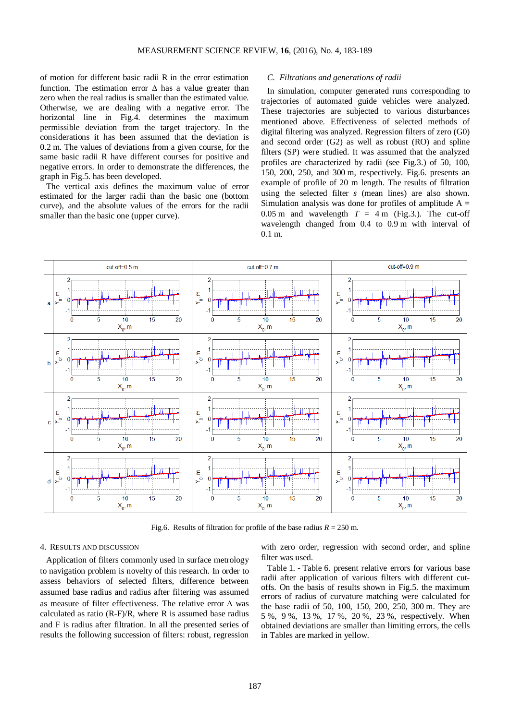of motion for different basic radii R in the error estimation function. The estimation error  $\Delta$  has a value greater than zero when the real radius is smaller than the estimated value. Otherwise, we are dealing with a negative error. The horizontal line in Fig.4. determines the maximum permissible deviation from the target trajectory. In the considerations it has been assumed that the deviation is 0.2 m. The values of deviations from a given course, for the same basic radii R have different courses for positive and negative errors. In order to demonstrate the differences, the graph in Fig.5. has been developed.

The vertical axis defines the maximum value of error estimated for the larger radii than the basic one (bottom curve), and the absolute values of the errors for the radii smaller than the basic one (upper curve).

## *C. Filtrations and generations of radii*

In simulation, computer generated runs corresponding to trajectories of automated guide vehicles were analyzed. These trajectories are subjected to various disturbances mentioned above. Effectiveness of selected methods of digital filtering was analyzed. Regression filters of zero (G0) and second order (G2) as well as robust (RO) and spline filters (SP) were studied. It was assumed that the analyzed profiles are characterized by radii (see Fig.3.) of 50, 100, 150, 200, 250, and 300 m, respectively. Fig.6. presents an example of profile of 20 m length. The results of filtration using the selected filter *s* (mean lines) are also shown. Simulation analysis was done for profiles of amplitude  $A =$ 0.05 m and wavelength  $T = 4$  m (Fig.3.). The cut-off wavelength changed from 0.4 to 0.9 m with interval of 0.1 m.



Fig.6. Results of filtration for profile of the base radius  $R = 250$  m.

## 4. RESULTS AND DISCUSSION

Application of filters commonly used in surface metrology to navigation problem is novelty of this research. In order to assess behaviors of selected filters, difference between assumed base radius and radius after filtering was assumed as measure of filter effectiveness. The relative error ∆ was calculated as ratio  $(R-F)/R$ , where R is assumed base radius and F is radius after filtration. In all the presented series of results the following succession of filters: robust, regression

with zero order, regression with second order, and spline filter was used.

Table 1. - Table 6. present relative errors for various base radii after application of various filters with different cutoffs. On the basis of results shown in Fig.5. the maximum errors of radius of curvature matching were calculated for the base radii of 50, 100, 150, 200, 250, 300 m. They are 5 %, 9 %, 13 %, 17 %, 20 %, 23 %, respectively. When obtained deviations are smaller than limiting errors, the cells in Tables are marked in yellow.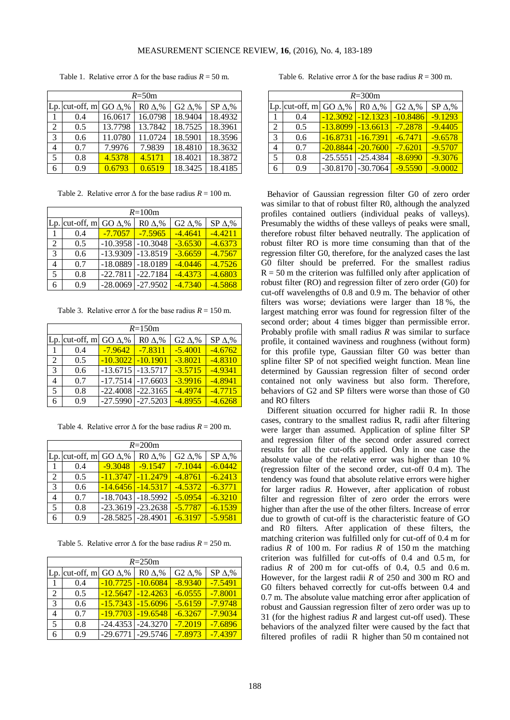| $R = 50m$      |                   |               |                 |                                      |                 |  |  |
|----------------|-------------------|---------------|-----------------|--------------------------------------|-----------------|--|--|
|                | $Lp$ . cut-off, m | GO $\Delta$ % | $R0 \Delta, \%$ | G <sub>2</sub> $\Delta$ <sup>%</sup> | $SP \Delta, \%$ |  |  |
| 1              | 0.4               | 16.0617       | 16.0798         | 18.9404                              | 18.4932         |  |  |
| 2              | $0.5^{\circ}$     | 13.7798       | 13.7842         | 18.7525                              | 18.3961         |  |  |
| $\overline{3}$ | 0.6               | 11.0780       | 11.0724         | 18.5901                              | 18.3596         |  |  |
| 4              | 0.7               | 7.9976        | 7.9839          | 18.4810                              | 18.3632         |  |  |
| 5              | 0.8               | 4.5378        | 4.5171          | 18.4021                              | 18.3872         |  |  |
| 6              | 0.9               | 0.6793        | 0.6519          | 18.3425                              | 18.4185         |  |  |

Table 1. Relative error  $\Delta$  for the base radius  $R = 50$  m.

Table 2. Relative error  $\Delta$  for the base radius  $R = 100$  m.

| $R = 100m$     |                              |            |                       |                           |                 |  |
|----------------|------------------------------|------------|-----------------------|---------------------------|-----------------|--|
|                | Lp. cut-off, m GO $\Delta$ % |            | $R0 \Delta, \%$       | G <sub>2</sub> $\Delta$ % | $SP \Delta, \%$ |  |
| 1              | 0.4                          | $-7.7057$  | $-7.5965$             | $-4.4641$                 | $-4.4211$       |  |
| $\mathfrak{D}$ | 0.5                          | $-10.3958$ | $-10.3048$            | $-3.6530$                 | $-4.6373$       |  |
| 3              | 0.6                          | $-13.9309$ | $-13.8519$            | $-3.6659$                 | $-4.7567$       |  |
| 4              | 0.7                          |            | $-18.0889$ $-18.0189$ | $-4.0446$                 | $-4.7526$       |  |
| 5              | 0.8                          | $-22.7811$ | $-22.7184$            | $-4.4373$                 | $-4.6803$       |  |
|                | 0.9                          | $-28.0069$ | $-27.9502$            | $-4.7340$                 | $-4.5868$       |  |

Table 3. Relative error  $\Delta$  for the base radius  $R = 150$  m.

| $R = 150m$    |                  |                       |                 |                           |                 |  |
|---------------|------------------|-----------------------|-----------------|---------------------------|-----------------|--|
|               | $Lp.$ cut-off, m | GO $\Delta$ %         | $R0 \Delta, \%$ | G <sub>2</sub> $\Delta$ % | $SP \Delta, \%$ |  |
|               | 0.4              | $-7.9642$             | $-7.8311$       | $-5.4001$                 | $-4.6762$       |  |
| 2             | 0.5              | $-10.3022$            | $-10.1901$      | $-3.8021$                 | $-4.8310$       |  |
| $\mathcal{R}$ | 0.6              | $-13.6715$ $-13.5717$ |                 | $-3.5715$                 | $-4.9341$       |  |
| 4             | 0.7              | $-17.7514$ $-17.6603$ |                 | $-3.9916$                 | $-4.8941$       |  |
| 5             | 0.8              | $-22.4008$            | $-22.3165$      | $-4.4974$                 | $-4.7715$       |  |
|               | 0.9              | $-27.5990$            | $-27.5203$      | $-4.8955$                 | $-4.6268$       |  |

Table 4. Relative error  $\Delta$  for the base radius  $R = 200$  m.

| $R = 200$ m    |                  |                       |                       |                                      |                 |  |
|----------------|------------------|-----------------------|-----------------------|--------------------------------------|-----------------|--|
|                | $Lp.$ cut-off, m | GO $\Delta$ %         | $R0 \Delta, \%$       | G <sub>2</sub> $\Delta$ <sup>%</sup> | $SP \Delta, \%$ |  |
| $\overline{1}$ | 0.4              | $-9.3048$             | $-9.1547$             | $-7.1044$                            | $-6.0442$       |  |
| 2              | 0.5              | $-11.3747$            | $-11.2479$            | $-4.8761$                            | $-6.2413$       |  |
| $\overline{3}$ | 0.6              |                       | $-14.6456$ $-14.5317$ | $-4.5372$                            | $-6.3771$       |  |
| 4              | 0.7              |                       | $-18.7043$ $-18.5992$ | $-5.0954$                            | $-6.3210$       |  |
| -5             | 0.8              |                       | $-23.3619$ $-23.2638$ | $-5.7787$                            | $-6.1539$       |  |
| 6              | 0.9              | $-28.5825$ $-28.4901$ |                       | $-6.3197$                            | $-5.9581$       |  |

Table 5. Relative error  $\Delta$  for the base radius  $R = 250$  m.

| $R = 250m$    |                  |               |                 |                                      |                 |  |
|---------------|------------------|---------------|-----------------|--------------------------------------|-----------------|--|
|               | $Lp.$ cut-off, m | GO $\Delta$ % | $R0 \Delta, \%$ | G <sub>2</sub> $\Delta$ <sup>%</sup> | $SP \Delta, \%$ |  |
| $\Box$        | 0.4              | $-10.7725$    | $-10.6084$      | $-8.9340$                            | $-7.5491$       |  |
| 2             | 0.5              | $-12.5647$    | $-12.4263$      | $-6.0555$                            | $-7.8001$       |  |
| $\mathcal{E}$ | 0.6              | $-15.7343$    | $-15.6096$      | $-5.6159$                            | $-7.9748$       |  |
| 4             | 0.7              | $-19.7703$    | $-19.6548$      | $-6.3267$                            | $-7.9034$       |  |
| 5             | 0.8              | $-24.4353$    | $-24.3270$      | $-7.2019$                            | $-7.6896$       |  |
|               | 0.9              | $-29.6771$    | $-29.5746$      | $-7.8973$                            | $-7.4397$       |  |

Table 6. Relative error  $\Delta$  for the base radius  $R = 300$  m.

|               | $R = 300$ m                  |                       |                       |                                      |                 |  |  |
|---------------|------------------------------|-----------------------|-----------------------|--------------------------------------|-----------------|--|--|
|               | Lp. cut-off, m GO $\Delta$ % |                       | $R0 \Delta, \%$       | G <sub>2</sub> $\Delta$ <sup>%</sup> | $SP \Delta, \%$ |  |  |
| 1             | 0.4                          | $-12.3092$            | $-12.1323$            | $-10.8486$                           | $-9.1293$       |  |  |
| 2             | 0.5                          | $-13.8099$            | $-13.6613$            | $-7.2878$                            | $-9.4405$       |  |  |
| $\mathcal{R}$ | 0.6                          | $-16.8731$            | $-16.7391$            | $-6.7471$                            | $-9.6578$       |  |  |
| 4             | 0.7                          | $-20.8844$            | $-20.7600$            | $-7.6201$                            | $-9.5707$       |  |  |
| 5             | 0.8                          | $-25.5551$ $-25.4384$ |                       | $-8.6990$                            | $-9.3076$       |  |  |
| 6             | 0.9                          |                       | $-30.8170$ $-30.7064$ | $-9.5590$                            | $-9.0002$       |  |  |

Behavior of Gaussian regression filter G0 of zero order was similar to that of robust filter R0, although the analyzed profiles contained outliers (individual peaks of valleys). Presumably the widths of these valleys of peaks were small, therefore robust filter behaved neutrally. The application of robust filter RO is more time consuming than that of the regression filter G0, therefore, for the analyzed cases the last G0 filter should be preferred. For the smallest radius  $R = 50$  m the criterion was fulfilled only after application of robust filter (RO) and regression filter of zero order (G0) for cut-off wavelengths of 0.8 and 0.9 m. The behavior of other filters was worse; deviations were larger than 18 %, the largest matching error was found for regression filter of the second order; about 4 times bigger than permissible error. Probably profile with small radius *R* was similar to surface profile, it contained waviness and roughness (without form) for this profile type, Gaussian filter G0 was better than spline filter SP of not specified weight function. Mean line determined by Gaussian regression filter of second order contained not only waviness but also form. Therefore, behaviors of G2 and SP filters were worse than those of G0 and RO filters

Different situation occurred for higher radii R. In those cases, contrary to the smallest radius R, radii after filtering were larger than assumed. Application of spline filter SP and regression filter of the second order assured correct results for all the cut-offs applied. Only in one case the absolute value of the relative error was higher than 10 % (regression filter of the second order, cut-off 0.4 m). The tendency was found that absolute relative errors were higher for larger radius *R*. However, after application of robust filter and regression filter of zero order the errors were higher than after the use of the other filters. Increase of error due to growth of cut-off is the characteristic feature of GO and R0 filters. After application of these filters, the matching criterion was fulfilled only for cut-off of 0.4 m for radius *R* of 100 m. For radius *R* of 150 m the matching criterion was fulfilled for cut-offs of 0.4 and 0.5 m, for radius  $R$  of 200 m for cut-offs of 0.4, 0.5 and 0.6 m. However, for the largest radii *R* of 250 and 300 m RO and G0 filters behaved correctly for cut-offs between 0.4 and 0.7 m. The absolute value matching error after application of robust and Gaussian regression filter of zero order was up to 31 (for the highest radius *R* and largest cut-off used). These behaviors of the analyzed filter were caused by the fact that filtered profiles of radii R higher than 50 m contained not